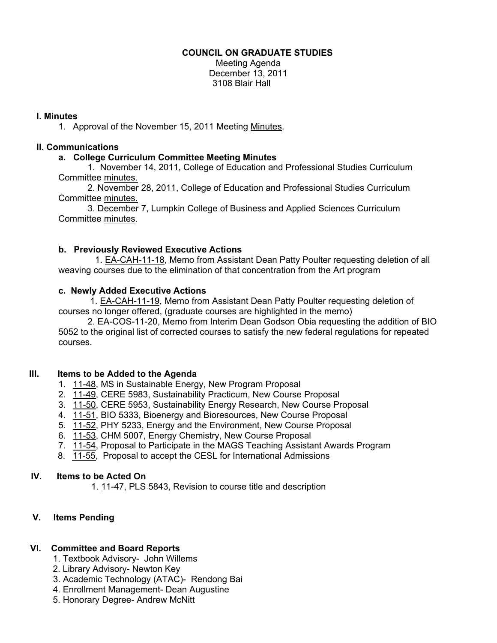## **COUNCIL ON GRADUATE STUDIES**

Meeting Agenda December 13, 2011 3108 Blair Hall

### **I. Minutes**

1. Approval of the November 15, 2011 Meeti[ng Minutes.](http://castle.eiu.edu/eiucgs/currentminutes/Minutes11-15-11.pdf) 

## **II. Communications**

# **a. College Curriculum Committee Meeting Minutes**

 1. November 14, 2011, College of Education and Professional Studies Curriculum Committ[ee minutes.](http://castle.eiu.edu/~eiucgs/currentagendaitems/CEPSMin11-14-11.pdf) 

 2. November 28, 2011, College of Education and Professional Studies Curriculum Committe[e minutes.](http://castle.eiu.edu/~eiucgs/currentagendaitems/CEPSMin11-28-11.pdf) 

 3. December 7, Lumpkin College of Business and Applied Sciences Curriculum Committee [minutes.](http://castle.eiu.edu/~eiucgs/currentagendaitems/LCBASMin12-7-11.pdf) 

### **b. Previously Reviewed Executive Actions**

1[. EA-CAH-11-18, M](http://castle.eiu.edu/~eiucgs/exec-actions/EA-CAH-11-18.pdf)emo from Assistant Dean Patty Poulter requesting deletion of all weaving courses due to the elimination of that concentration from the Art program

### **c. Newly Added Executive Actions**

 [1. EA-CAH-11-19, Mem](http://castle.eiu.edu/~eiucgs/exec-actions/EA-CAH-11-19.pdf)o from Assistant Dean Patty Poulter requesting deletion of courses no longer offered, (graduate courses are highlighted in the memo)

[2. EA-COS-11-20, M](http://castle.eiu.edu/~eiucgs/exec-actions/EA-COS-11-20.pdf)emo from Interim Dean Godson Obia requesting the addition of BIO 5052 to the original list of corrected courses to satisfy the new federal regulations for repeated courses.

#### **III. Items to be Added to the Agenda**

- 1. [11-48, M](http://castle.eiu.edu/~eiucgs/currentagendaitems/agenda11-48.pdf)S in Sustainable Energy, New Program Proposal
- 2. [11-49, C](http://castle.eiu.edu/~eiucgs/currentagendaitems/agenda11-49.pdf)ERE 5983, Sustainability Practicum, New Course Proposal
- 3. [11-50, C](http://castle.eiu.edu/~eiucgs/currentagendaitems/agenda11-50.pdf)ERE 5953, Sustainability Energy Research, New Course Proposal
- 4. [11-51,](http://castle.eiu.edu/~eiucgs/currentagendaitems/agenda11-51.pdf) BIO 5333, Bioenergy and Bioresources, New Course Proposal
- 5. [11-52, P](http://castle.eiu.edu/~eiucgs/currentagendaitems/agenda11-52.pdf)HY 5233, Energy and the Environment, New Course Proposal
- 6. [11-53, CH](http://castle.eiu.edu/~eiucgs/currentagendaitems/agenda11-53.pdf)M 5007, Energy Chemistry, New Course Proposal
- 7. [11-54, P](http://castle.eiu.edu/~eiucgs/currentagendaitems/agenda11-54.pdf)roposal to Participate in the MAGS Teaching Assistant Awards Program
- 8. [11-55, Pro](http://castle.eiu.edu/~eiucgs/currentagendaitems/agenda11-55.pdf)posal to accept the CESL for International Admissions

#### **IV. IV. Items to be Acted On**

1. 1[. 11-47, PLS 58](http://castle.eiu.edu/~eiucgs/currentagendaitems/agenda11-47.pdf)43, Revision to course title and description

# **V. I V. Items Pending**

# **VI. C VI. Committee and Board Reports**

- 1. Textbook Advisory- John Willems
- 2. Library Advisory- Newton Key
- 3. Academic Technology (ATAC)- Rendong Bai
- 4. Enrollment Management- Dean Augustine
- 5. Honorary Degree- Andrew McNitt